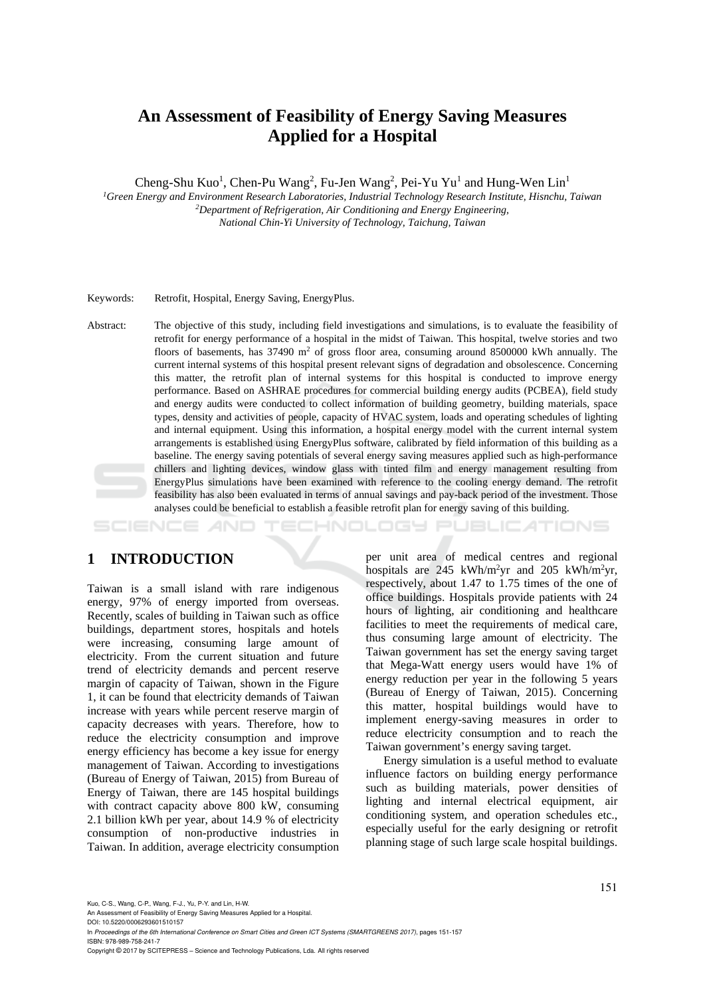# **An Assessment of Feasibility of Energy Saving Measures Applied for a Hospital**

Cheng-Shu Kuo<sup>1</sup>, Chen-Pu Wang<sup>2</sup>, Fu-Jen Wang<sup>2</sup>, Pei-Yu Yu<sup>1</sup> and Hung-Wen Lin<sup>1</sup>

<sup>1</sup> Green Energy and Environment Research Laboratories, Industrial Technology Research Institute, Hisnchu, Taiwan <sup>2</sup> *Department of Refrigeration, Air Conditioning and Energy Engineering, National Chin-Yi University of Technology, Taichung, Taiwan* 

Keywords: Retrofit, Hospital, Energy Saving, EnergyPlus.

Abstract: The objective of this study, including field investigations and simulations, is to evaluate the feasibility of retrofit for energy performance of a hospital in the midst of Taiwan. This hospital, twelve stories and two floors of basements, has  $37490 \text{ m}^2$  of gross floor area, consuming around 8500000 kWh annually. The current internal systems of this hospital present relevant signs of degradation and obsolescence. Concerning this matter, the retrofit plan of internal systems for this hospital is conducted to improve energy performance. Based on ASHRAE procedures for commercial building energy audits (PCBEA), field study and energy audits were conducted to collect information of building geometry, building materials, space types, density and activities of people, capacity of HVAC system, loads and operating schedules of lighting and internal equipment. Using this information, a hospital energy model with the current internal system arrangements is established using EnergyPlus software, calibrated by field information of this building as a baseline. The energy saving potentials of several energy saving measures applied such as high-performance chillers and lighting devices, window glass with tinted film and energy management resulting from EnergyPlus simulations have been examined with reference to the cooling energy demand. The retrofit feasibility has also been evaluated in terms of annual savings and pay-back period of the investment. Those analyses could be beneficial to establish a feasible retrofit plan for energy saving of this building.

**JBLICATIONS** HNOLOGY

### **1 INTRODUCTION**

Taiwan is a small island with rare indigenous energy, 97% of energy imported from overseas. Recently, scales of building in Taiwan such as office buildings, department stores, hospitals and hotels were increasing, consuming large amount of electricity. From the current situation and future trend of electricity demands and percent reserve margin of capacity of Taiwan, shown in the Figure 1, it can be found that electricity demands of Taiwan increase with years while percent reserve margin of capacity decreases with years. Therefore, how to reduce the electricity consumption and improve energy efficiency has become a key issue for energy management of Taiwan. According to investigations (Bureau of Energy of Taiwan, 2015) from Bureau of Energy of Taiwan, there are 145 hospital buildings with contract capacity above 800 kW, consuming 2.1 billion kWh per year, about 14.9 % of electricity consumption of non-productive industries in Taiwan. In addition, average electricity consumption

per unit area of medical centres and regional hospitals are 245 kWh/m<sup>2</sup>yr and 205 kWh/m<sup>2</sup>yr, respectively, about 1.47 to 1.75 times of the one of office buildings. Hospitals provide patients with 24 hours of lighting, air conditioning and healthcare facilities to meet the requirements of medical care, thus consuming large amount of electricity. The Taiwan government has set the energy saving target that Mega-Watt energy users would have 1% of energy reduction per year in the following 5 years (Bureau of Energy of Taiwan, 2015). Concerning this matter, hospital buildings would have to implement energy-saving measures in order to reduce electricity consumption and to reach the Taiwan government's energy saving target.

Energy simulation is a useful method to evaluate influence factors on building energy performance such as building materials, power densities of lighting and internal electrical equipment, air conditioning system, and operation schedules etc., especially useful for the early designing or retrofit planning stage of such large scale hospital buildings.

Kuo, C-S., Wang, C-P., Wang, F-J., Yu, P-Y. and Lin, H-W.

An Assessment of Feasibility of Energy Saving Measures Applied for a Hospital.

DOI: 10.5220/0006293601510157 In *Proceedings of the 6th International Conference on Smart Cities and Green ICT Systems (SMARTGREENS 2017)*, pages 151-157 ISBN: 978-989-758-241-7

Copyright © 2017 by SCITEPRESS – Science and Technology Publications, Lda. All rights reserved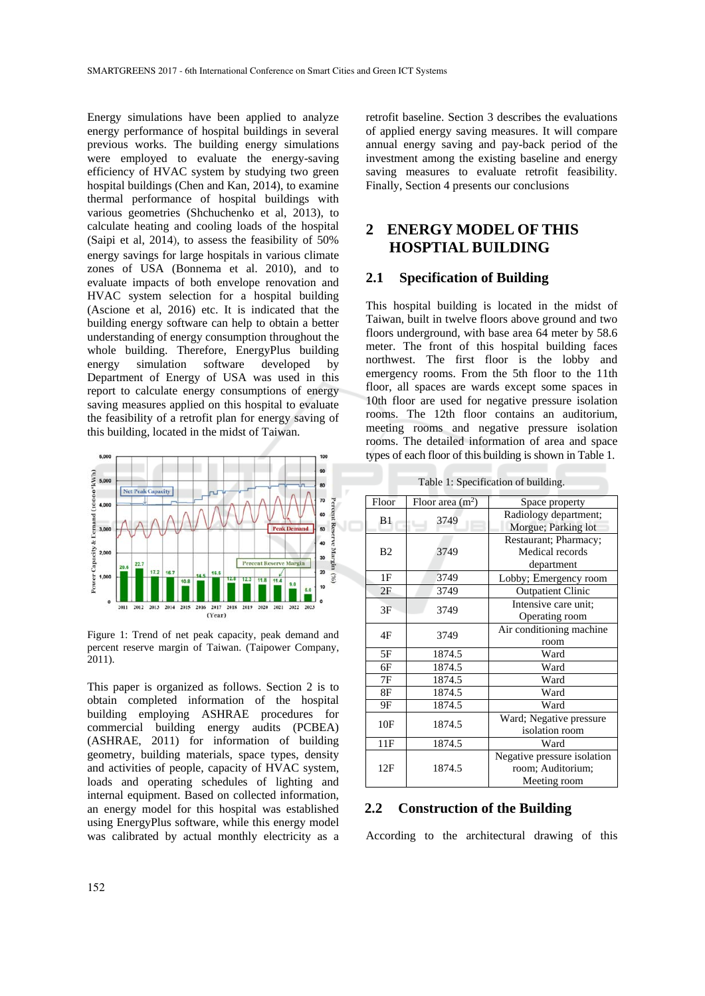Energy simulations have been applied to analyze energy performance of hospital buildings in several previous works. The building energy simulations were employed to evaluate the energy-saving efficiency of HVAC system by studying two green hospital buildings (Chen and Kan, 2014), to examine thermal performance of hospital buildings with various geometries (Shchuchenko et al, 2013), to calculate heating and cooling loads of the hospital (Saipi et al, 2014), to assess the feasibility of 50% energy savings for large hospitals in various climate zones of USA (Bonnema et al. 2010), and to evaluate impacts of both envelope renovation and HVAC system selection for a hospital building (Ascione et al, 2016) etc. It is indicated that the building energy software can help to obtain a better understanding of energy consumption throughout the whole building. Therefore, EnergyPlus building energy simulation software developed by Department of Energy of USA was used in this report to calculate energy consumptions of energy saving measures applied on this hospital to evaluate the feasibility of a retrofit plan for energy saving of this building, located in the midst of Taiwan.



Figure 1: Trend of net peak capacity, peak demand and percent reserve margin of Taiwan. (Taipower Company, 2011).

This paper is organized as follows. Section 2 is to obtain completed information of the hospital building employing ASHRAE procedures for commercial building energy audits (PCBEA) (ASHRAE, 2011) for information of building geometry, building materials, space types, density and activities of people, capacity of HVAC system, loads and operating schedules of lighting and internal equipment. Based on collected information, an energy model for this hospital was established using EnergyPlus software, while this energy model was calibrated by actual monthly electricity as a retrofit baseline. Section 3 describes the evaluations of applied energy saving measures. It will compare annual energy saving and pay-back period of the investment among the existing baseline and energy saving measures to evaluate retrofit feasibility. Finally, Section 4 presents our conclusions

### **2 ENERGY MODEL OF THIS HOSPTIAL BUILDING**

#### **2.1 Specification of Building**

This hospital building is located in the midst of Taiwan, built in twelve floors above ground and two floors underground, with base area 64 meter by 58.6 meter. The front of this hospital building faces northwest. The first floor is the lobby and emergency rooms. From the 5th floor to the 11th floor, all spaces are wards except some spaces in 10th floor are used for negative pressure isolation rooms. The 12th floor contains an auditorium, meeting rooms and negative pressure isolation rooms. The detailed information of area and space types of each floor of this building is shown in Table 1.

| Floor          | Floor area $(m2)$ | Space property              |  |  |  |
|----------------|-------------------|-----------------------------|--|--|--|
| B <sub>1</sub> |                   | Radiology department;       |  |  |  |
|                | 3749              | Morgue; Parking lot         |  |  |  |
|                |                   | Restaurant; Pharmacy;       |  |  |  |
| B <sub>2</sub> | 3749              | Medical records             |  |  |  |
|                |                   | department                  |  |  |  |
| 1F             | 3749              | Lobby; Emergency room       |  |  |  |
| 2F             | 3749              | <b>Outpatient Clinic</b>    |  |  |  |
| 3F             | 3749              | Intensive care unit;        |  |  |  |
|                |                   | Operating room              |  |  |  |
| 4F             | 3749              | Air conditioning machine    |  |  |  |
|                |                   | room                        |  |  |  |
| 5F             | 1874.5            | Ward                        |  |  |  |
| 6F             | 1874.5            | Ward                        |  |  |  |
| 7F             | 1874.5            | Ward                        |  |  |  |
| 8F             | 1874.5            | Ward                        |  |  |  |
| 9Ε             | 1874.5            | Ward                        |  |  |  |
| 10F            | 1874.5            | Ward; Negative pressure     |  |  |  |
|                |                   | isolation room              |  |  |  |
| 11F            | 1874.5            | Ward                        |  |  |  |
| 12F            |                   | Negative pressure isolation |  |  |  |
|                | 1874.5            | room; Auditorium;           |  |  |  |
|                |                   | Meeting room                |  |  |  |

Table 1: Specification of building.

### **2.2 Construction of the Building**

According to the architectural drawing of this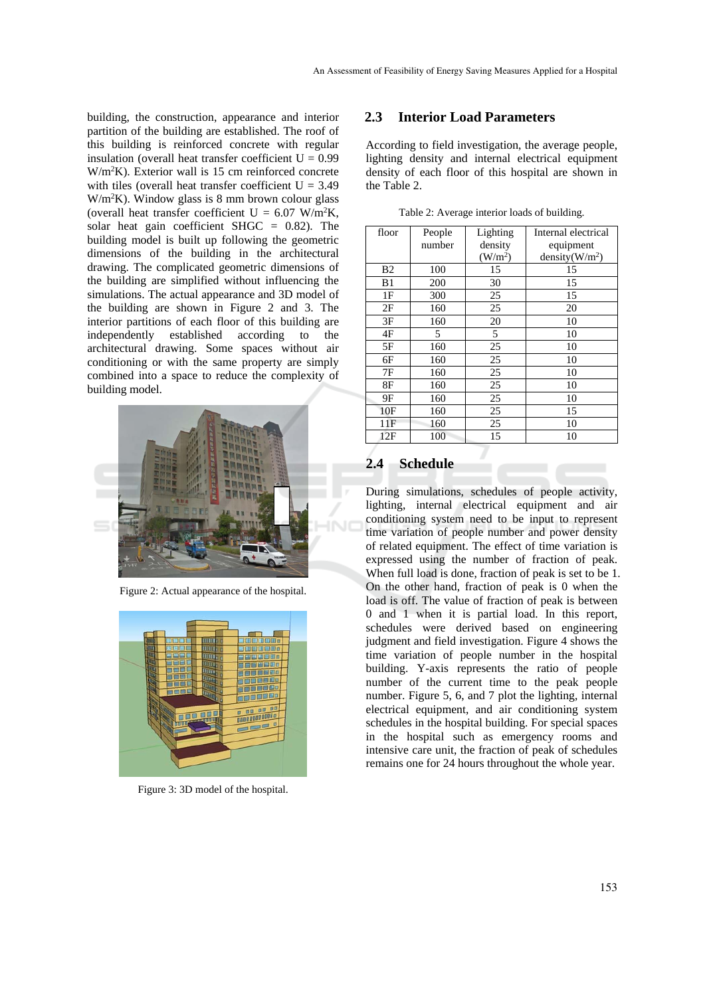building, the construction, appearance and interior partition of the building are established. The roof of this building is reinforced concrete with regular insulation (overall heat transfer coefficient  $U = 0.99$ W/m2 K). Exterior wall is 15 cm reinforced concrete with tiles (overall heat transfer coefficient  $U = 3.49$  $W/m<sup>2</sup>K$ ). Window glass is 8 mm brown colour glass (overall heat transfer coefficient  $U = 6.07$  W/m<sup>2</sup>K, solar heat gain coefficient SHGC = 0.82). The building model is built up following the geometric dimensions of the building in the architectural drawing. The complicated geometric dimensions of the building are simplified without influencing the simulations. The actual appearance and 3D model of the building are shown in Figure 2 and 3. The interior partitions of each floor of this building are independently established according to the architectural drawing. Some spaces without air conditioning or with the same property are simply combined into a space to reduce the complexity of building model.



Figure 2: Actual appearance of the hospital.



Figure 3: 3D model of the hospital.

#### **2.3 Interior Load Parameters**

According to field investigation, the average people, lighting density and internal electrical equipment density of each floor of this hospital are shown in the Table 2.

| floor          | People | Lighting            | Internal electrical |  |  |
|----------------|--------|---------------------|---------------------|--|--|
|                | number | density             | equipment           |  |  |
|                |        | (W/m <sup>2</sup> ) | density( $W/m2$ )   |  |  |
| B <sub>2</sub> | 100    | 15                  | 15                  |  |  |
| B1             | 200    | 30                  | 15                  |  |  |
| 1F             | 300    | 25                  | 15                  |  |  |
| 2F             | 160    | 25                  | 20                  |  |  |
| 3F             | 160    | 20                  | 10                  |  |  |
| 4F             | 5      | 5                   | 10                  |  |  |
| 5F             | 160    | 25                  | 10                  |  |  |
| 6F             | 160    | 25                  | 10                  |  |  |
| 7F             | 160    | 25                  | 10                  |  |  |
| 8F             | 160    | 25                  | 10                  |  |  |
| 9Ε             | 160    | 25                  | 10                  |  |  |
| 10F            | 160    | 25                  | 15                  |  |  |
| 11F            | 160    | 25                  | 10                  |  |  |
| 12F            | 100    | 15                  | 10                  |  |  |

Table 2: Average interior loads of building.

#### **2.4 Schedule**

During simulations, schedules of people activity, lighting, internal electrical equipment and air conditioning system need to be input to represent time variation of people number and power density of related equipment. The effect of time variation is expressed using the number of fraction of peak. When full load is done, fraction of peak is set to be 1. On the other hand, fraction of peak is 0 when the load is off. The value of fraction of peak is between 0 and 1 when it is partial load. In this report, schedules were derived based on engineering judgment and field investigation. Figure 4 shows the time variation of people number in the hospital building. Y-axis represents the ratio of people number of the current time to the peak people number. Figure 5, 6, and 7 plot the lighting, internal electrical equipment, and air conditioning system schedules in the hospital building. For special spaces in the hospital such as emergency rooms and intensive care unit, the fraction of peak of schedules remains one for 24 hours throughout the whole year.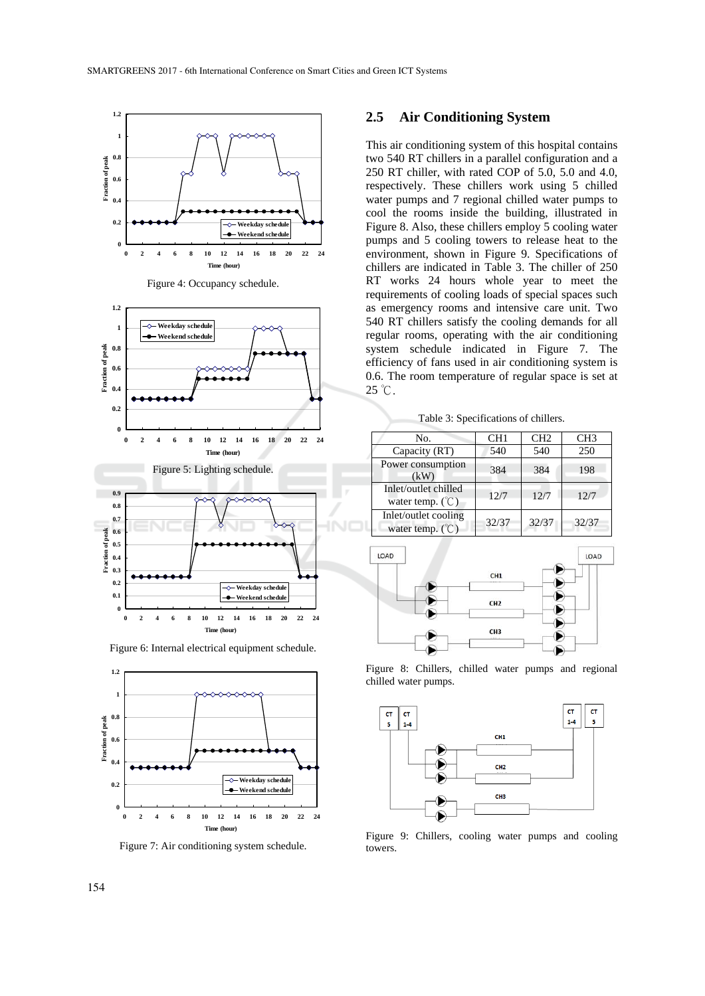

Figure 4: Occupancy schedule.



Figure 6: Internal electrical equipment schedule.



Figure 7: Air conditioning system schedule.

#### **2.5 Air Conditioning System**

This air conditioning system of this hospital contains two 540 RT chillers in a parallel configuration and a 250 RT chiller, with rated COP of 5.0, 5.0 and 4.0, respectively. These chillers work using 5 chilled water pumps and 7 regional chilled water pumps to cool the rooms inside the building, illustrated in Figure 8. Also, these chillers employ 5 cooling water pumps and 5 cooling towers to release heat to the environment, shown in Figure 9. Specifications of chillers are indicated in Table 3. The chiller of 250 RT works 24 hours whole year to meet the requirements of cooling loads of special spaces such as emergency rooms and intensive care unit. Two 540 RT chillers satisfy the cooling demands for all regular rooms, operating with the air conditioning system schedule indicated in Figure 7. The efficiency of fans used in air conditioning system is 0.6. The room temperature of regular space is set at 25 ℃.

Table 3: Specifications of chillers.

| No.                                                          | CH1   | CH2   | CH <sub>3</sub> |
|--------------------------------------------------------------|-------|-------|-----------------|
| Capacity (RT)                                                | 540   | 540   | 250             |
| Power consumption<br>(kW)                                    | 384   | 384   | 198             |
| Inlet/outlet chilled<br>water temp. $(\mathcal{C})$          | 12/7  | 12/7  | 12/7            |
| Inlet/outlet cooling<br>water temp. $({}^{\circ}\mathbb{C})$ | 32/37 | 32/37 | 32/37           |



Figure 8: Chillers, chilled water pumps and regional chilled water pumps.



Figure 9: Chillers, cooling water pumps and cooling towers.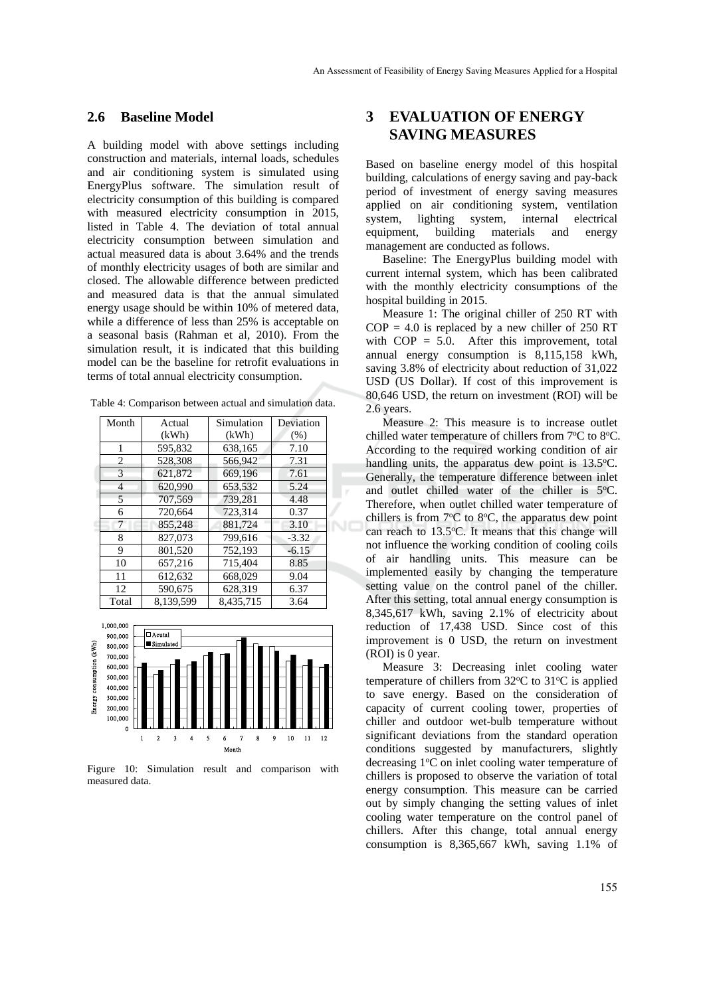#### **2.6 Baseline Model**

A building model with above settings including construction and materials, internal loads, schedules and air conditioning system is simulated using EnergyPlus software. The simulation result of electricity consumption of this building is compared with measured electricity consumption in 2015, listed in Table 4. The deviation of total annual electricity consumption between simulation and actual measured data is about 3.64% and the trends of monthly electricity usages of both are similar and closed. The allowable difference between predicted and measured data is that the annual simulated energy usage should be within 10% of metered data, while a difference of less than 25% is acceptable on a seasonal basis (Rahman et al, 2010). From the simulation result, it is indicated that this building model can be the baseline for retrofit evaluations in terms of total annual electricity consumption.

Table 4: Comparison between actual and simulation data.

| Month          | Actual    | Simulation | Deviation |
|----------------|-----------|------------|-----------|
|                | (kWh)     | (kWh)      | (% )      |
| 1              | 595,832   | 638,165    | 7.10      |
| $\overline{2}$ | 528,308   | 566.942    | 7.31      |
| 3              | 621.872   | 669.196    | 7.61      |
| $\overline{4}$ | 620.990   | 653.532    | 5.24      |
| 5              | 707,569   | 739.281    | 4.48      |
| 6              | 720.664   | 723.314    | 0.37      |
| 7              | 855,248   | 881.724    | 3.10      |
| 8              | 827,073   | 799,616    | $-3.32$   |
| 9              | 801.520   | 752.193    | $-6.15$   |
| 10             | 657,216   | 715.404    | 8.85      |
| 11             | 612.632   | 668,029    | 9.04      |
| 12             | 590,675   | 628,319    | 6.37      |
| Total          | 8,139,599 | 8.435.715  | 3.64      |



Figure 10: Simulation result and comparison with measured data.

## **3 EVALUATION OF ENERGY SAVING MEASURES**

Based on baseline energy model of this hospital building, calculations of energy saving and pay-back period of investment of energy saving measures applied on air conditioning system, ventilation system, lighting system, internal electrical equipment, building materials and energy management are conducted as follows.

Baseline: The EnergyPlus building model with current internal system, which has been calibrated with the monthly electricity consumptions of the hospital building in 2015.

Measure 1: The original chiller of 250 RT with  $COP = 4.0$  is replaced by a new chiller of 250 RT with COP = 5.0. After this improvement, total annual energy consumption is 8,115,158 kWh, saving 3.8% of electricity about reduction of 31,022 USD (US Dollar). If cost of this improvement is 80,646 USD, the return on investment (ROI) will be 2.6 years.

Measure 2: This measure is to increase outlet chilled water temperature of chillers from 7°C to 8°C. According to the required working condition of air handling units, the apparatus dew point is  $13.5^{\circ}$ C. Generally, the temperature difference between inlet and outlet chilled water of the chiller is 5°C. Therefore, when outlet chilled water temperature of chillers is from  $7^{\circ}$ C to  $8^{\circ}$ C, the apparatus dew point can reach to 13.5°C. It means that this change will not influence the working condition of cooling coils of air handling units. This measure can be implemented easily by changing the temperature setting value on the control panel of the chiller. After this setting, total annual energy consumption is 8,345,617 kWh, saving 2.1% of electricity about reduction of 17,438 USD. Since cost of this improvement is 0 USD, the return on investment (ROI) is 0 year.

Measure 3: Decreasing inlet cooling water temperature of chillers from  $32^{\circ}$ C to  $31^{\circ}$ C is applied to save energy. Based on the consideration of capacity of current cooling tower, properties of chiller and outdoor wet-bulb temperature without significant deviations from the standard operation conditions suggested by manufacturers, slightly decreasing 1°C on inlet cooling water temperature of chillers is proposed to observe the variation of total energy consumption. This measure can be carried out by simply changing the setting values of inlet cooling water temperature on the control panel of chillers. After this change, total annual energy consumption is 8,365,667 kWh, saving 1.1% of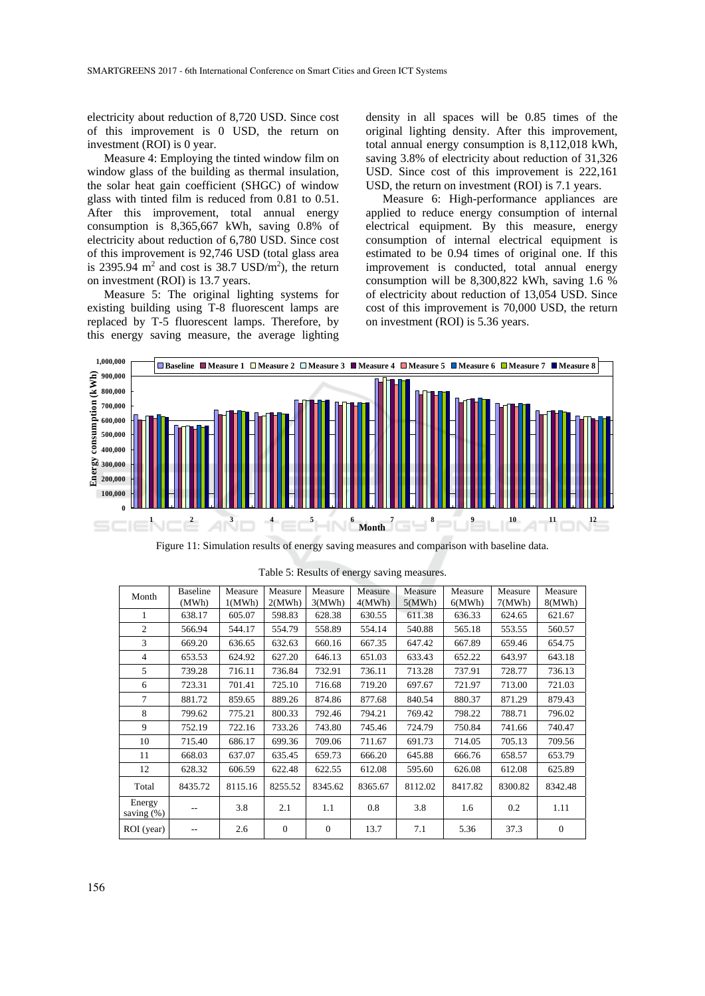electricity about reduction of 8,720 USD. Since cost of this improvement is 0 USD, the return on investment (ROI) is 0 year.

Measure 4: Employing the tinted window film on window glass of the building as thermal insulation, the solar heat gain coefficient (SHGC) of window glass with tinted film is reduced from 0.81 to 0.51. After this improvement, total annual energy consumption is 8,365,667 kWh, saving 0.8% of electricity about reduction of 6,780 USD. Since cost of this improvement is 92,746 USD (total glass area is 2395.94  $m^2$  and cost is 38.7 USD/ $m^2$ ), the return on investment (ROI) is 13.7 years.

Measure 5: The original lighting systems for existing building using T-8 fluorescent lamps are replaced by T-5 fluorescent lamps. Therefore, by this energy saving measure, the average lighting

density in all spaces will be 0.85 times of the original lighting density. After this improvement, total annual energy consumption is 8,112,018 kWh, saving 3.8% of electricity about reduction of 31,326 USD. Since cost of this improvement is 222,161 USD, the return on investment (ROI) is 7.1 years.

Measure 6: High-performance appliances are applied to reduce energy consumption of internal electrical equipment. By this measure, energy consumption of internal electrical equipment is estimated to be 0.94 times of original one. If this improvement is conducted, total annual energy consumption will be 8,300,822 kWh, saving 1.6 % of electricity about reduction of 13,054 USD. Since cost of this improvement is 70,000 USD, the return on investment (ROI) is 5.36 years.



Figure 11: Simulation results of energy saving measures and comparison with baseline data.

| Month                   | <b>Baseline</b><br>(MWh) | Measure<br>1(MWh) | Measure<br>2(MWh) | Measure<br>3(MWh) | Measure<br>4(MWh) | Measure<br>5(MWh) | Measure<br>6(MWh) | Measure<br>7(MWh) | Measure<br>8(MWh) |
|-------------------------|--------------------------|-------------------|-------------------|-------------------|-------------------|-------------------|-------------------|-------------------|-------------------|
| 1                       | 638.17                   | 605.07            | 598.83            | 628.38            | 630.55            | 611.38            | 636.33            | 624.65            | 621.67            |
| $\overline{c}$          | 566.94                   | 544.17            | 554.79            | 558.89            | 554.14            | 540.88            | 565.18            | 553.55            | 560.57            |
| 3                       | 669.20                   | 636.65            | 632.63            | 660.16            | 667.35            | 647.42            | 667.89            | 659.46            | 654.75            |
| $\overline{4}$          | 653.53                   | 624.92            | 627.20            | 646.13            | 651.03            | 633.43            | 652.22            | 643.97            | 643.18            |
| 5                       | 739.28                   | 716.11            | 736.84            | 732.91            | 736.11            | 713.28            | 737.91            | 728.77            | 736.13            |
| 6                       | 723.31                   | 701.41            | 725.10            | 716.68            | 719.20            | 697.67            | 721.97            | 713.00            | 721.03            |
| $\tau$                  | 881.72                   | 859.65            | 889.26            | 874.86            | 877.68            | 840.54            | 880.37            | 871.29            | 879.43            |
| 8                       | 799.62                   | 775.21            | 800.33            | 792.46            | 794.21            | 769.42            | 798.22            | 788.71            | 796.02            |
| 9                       | 752.19                   | 722.16            | 733.26            | 743.80            | 745.46            | 724.79            | 750.84            | 741.66            | 740.47            |
| 10                      | 715.40                   | 686.17            | 699.36            | 709.06            | 711.67            | 691.73            | 714.05            | 705.13            | 709.56            |
| 11                      | 668.03                   | 637.07            | 635.45            | 659.73            | 666.20            | 645.88            | 666.76            | 658.57            | 653.79            |
| 12                      | 628.32                   | 606.59            | 622.48            | 622.55            | 612.08            | 595.60            | 626.08            | 612.08            | 625.89            |
| Total                   | 8435.72                  | 8115.16           | 8255.52           | 8345.62           | 8365.67           | 8112.02           | 8417.82           | 8300.82           | 8342.48           |
| Energy<br>saving $(\%)$ |                          | 3.8               | 2.1               | 1.1               | 0.8               | 3.8               | 1.6               | 0.2               | 1.11              |
| ROI (year)              | --                       | 2.6               | $\theta$          | $\overline{0}$    | 13.7              | 7.1               | 5.36              | 37.3              | $\theta$          |

Table 5: Results of energy saving measures.